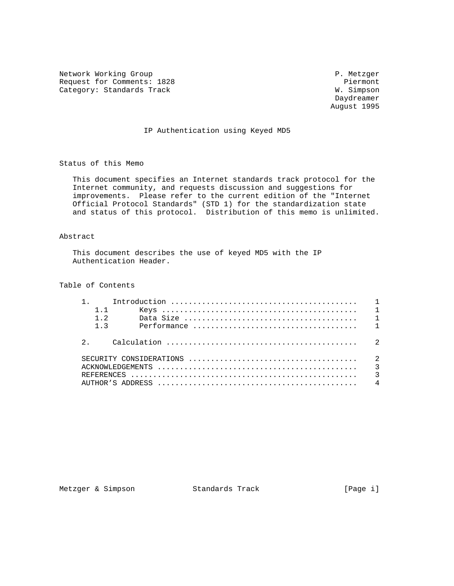Network Working Group **P. Metzger** P. Metzger Request for Comments: 1828 Piermont<br>
Category: Standards Track N. Simpson Category: Standards Track

 Daydreamer August 1995

### IP Authentication using Keyed MD5

Status of this Memo

 This document specifies an Internet standards track protocol for the Internet community, and requests discussion and suggestions for improvements. Please refer to the current edition of the "Internet Official Protocol Standards" (STD 1) for the standardization state and status of this protocol. Distribution of this memo is unlimited.

## Abstract

 This document describes the use of keyed MD5 with the IP Authentication Header.

Table of Contents

| $1 \quad 1$ |             |  |
|-------------|-------------|--|
| $1\quad 2$  |             |  |
|             | $1 \quad 3$ |  |
|             |             |  |
|             |             |  |
|             |             |  |
|             |             |  |
|             |             |  |

Metzger & Simpson Standards Track [Page i]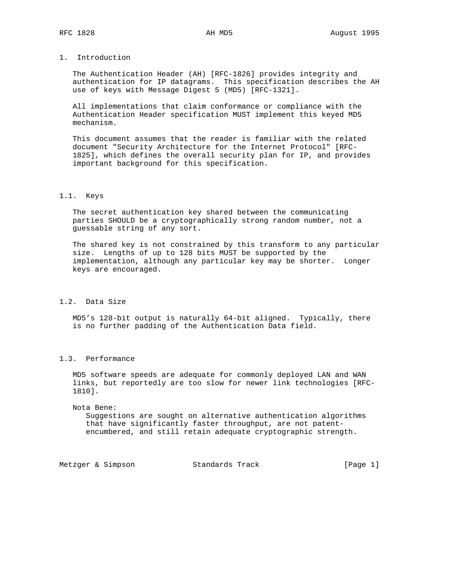# 1. Introduction

 The Authentication Header (AH) [RFC-1826] provides integrity and authentication for IP datagrams. This specification describes the AH use of keys with Message Digest 5 (MD5) [RFC-1321].

 All implementations that claim conformance or compliance with the Authentication Header specification MUST implement this keyed MD5 mechanism.

 This document assumes that the reader is familiar with the related document "Security Architecture for the Internet Protocol" [RFC- 1825], which defines the overall security plan for IP, and provides important background for this specification.

#### 1.1. Keys

 The secret authentication key shared between the communicating parties SHOULD be a cryptographically strong random number, not a guessable string of any sort.

 The shared key is not constrained by this transform to any particular size. Lengths of up to 128 bits MUST be supported by the implementation, although any particular key may be shorter. Longer keys are encouraged.

## 1.2. Data Size

 MD5's 128-bit output is naturally 64-bit aligned. Typically, there is no further padding of the Authentication Data field.

### 1.3. Performance

 MD5 software speeds are adequate for commonly deployed LAN and WAN links, but reportedly are too slow for newer link technologies [RFC- 1810].

#### Nota Bene:

 Suggestions are sought on alternative authentication algorithms that have significantly faster throughput, are not patent encumbered, and still retain adequate cryptographic strength.

Metzger & Simpson Standards Track [Page 1]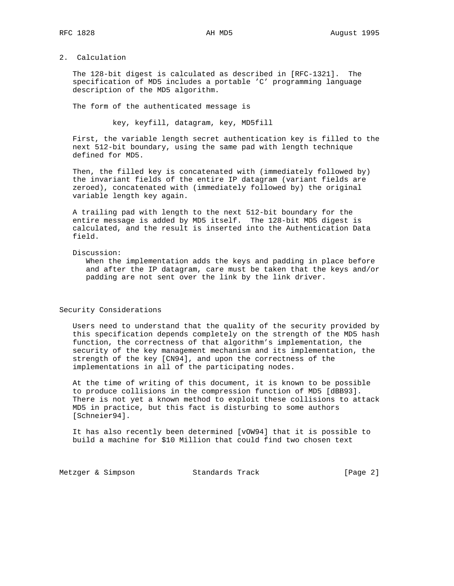# 2. Calculation

 The 128-bit digest is calculated as described in [RFC-1321]. The specification of MD5 includes a portable 'C' programming language description of the MD5 algorithm.

The form of the authenticated message is

key, keyfill, datagram, key, MD5fill

 First, the variable length secret authentication key is filled to the next 512-bit boundary, using the same pad with length technique defined for MD5.

 Then, the filled key is concatenated with (immediately followed by) the invariant fields of the entire IP datagram (variant fields are zeroed), concatenated with (immediately followed by) the original variable length key again.

 A trailing pad with length to the next 512-bit boundary for the entire message is added by MD5 itself. The 128-bit MD5 digest is calculated, and the result is inserted into the Authentication Data field.

Discussion:

 When the implementation adds the keys and padding in place before and after the IP datagram, care must be taken that the keys and/or padding are not sent over the link by the link driver.

Security Considerations

 Users need to understand that the quality of the security provided by this specification depends completely on the strength of the MD5 hash function, the correctness of that algorithm's implementation, the security of the key management mechanism and its implementation, the strength of the key [CN94], and upon the correctness of the implementations in all of the participating nodes.

 At the time of writing of this document, it is known to be possible to produce collisions in the compression function of MD5 [dBB93]. There is not yet a known method to exploit these collisions to attack MD5 in practice, but this fact is disturbing to some authors [Schneier94].

 It has also recently been determined [vOW94] that it is possible to build a machine for \$10 Million that could find two chosen text

Metzger & Simpson Standards Track [Page 2]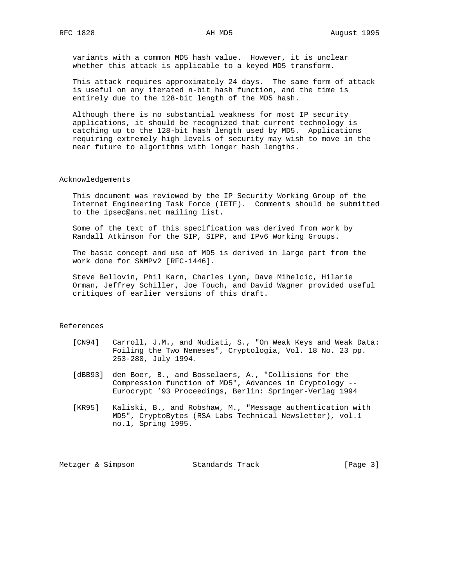variants with a common MD5 hash value. However, it is unclear whether this attack is applicable to a keyed MD5 transform.

 This attack requires approximately 24 days. The same form of attack is useful on any iterated n-bit hash function, and the time is entirely due to the 128-bit length of the MD5 hash.

 Although there is no substantial weakness for most IP security applications, it should be recognized that current technology is catching up to the 128-bit hash length used by MD5. Applications requiring extremely high levels of security may wish to move in the near future to algorithms with longer hash lengths.

#### Acknowledgements

 This document was reviewed by the IP Security Working Group of the Internet Engineering Task Force (IETF). Comments should be submitted to the ipsec@ans.net mailing list.

 Some of the text of this specification was derived from work by Randall Atkinson for the SIP, SIPP, and IPv6 Working Groups.

 The basic concept and use of MD5 is derived in large part from the work done for SNMPv2 [RFC-1446].

 Steve Bellovin, Phil Karn, Charles Lynn, Dave Mihelcic, Hilarie Orman, Jeffrey Schiller, Joe Touch, and David Wagner provided useful critiques of earlier versions of this draft.

## References

- [CN94] Carroll, J.M., and Nudiati, S., "On Weak Keys and Weak Data: Foiling the Two Nemeses", Cryptologia, Vol. 18 No. 23 pp. 253-280, July 1994.
- [dBB93] den Boer, B., and Bosselaers, A., "Collisions for the Compression function of MD5", Advances in Cryptology -- Eurocrypt '93 Proceedings, Berlin: Springer-Verlag 1994
- [KR95] Kaliski, B., and Robshaw, M., "Message authentication with MD5", CryptoBytes (RSA Labs Technical Newsletter), vol.1 no.1, Spring 1995.

Metzger & Simpson Standards Track [Page 3]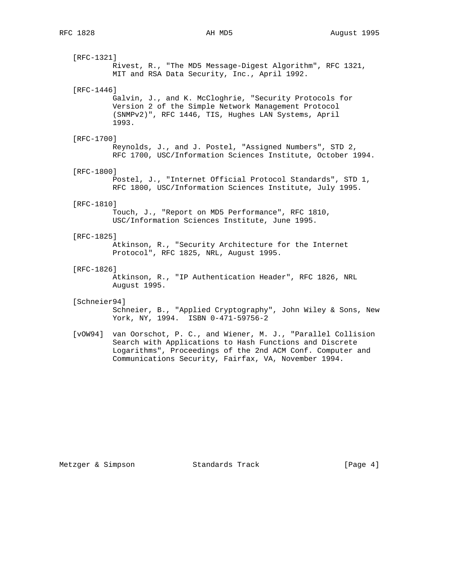[RFC-1321] Rivest, R., "The MD5 Message-Digest Algorithm", RFC 1321, MIT and RSA Data Security, Inc., April 1992. [RFC-1446] Galvin, J., and K. McCloghrie, "Security Protocols for Version 2 of the Simple Network Management Protocol (SNMPv2)", RFC 1446, TIS, Hughes LAN Systems, April 1993. [RFC-1700] Reynolds, J., and J. Postel, "Assigned Numbers", STD 2, RFC 1700, USC/Information Sciences Institute, October 1994. [RFC-1800] Postel, J., "Internet Official Protocol Standards", STD 1, RFC 1800, USC/Information Sciences Institute, July 1995. [RFC-1810] Touch, J., "Report on MD5 Performance", RFC 1810, USC/Information Sciences Institute, June 1995. [RFC-1825] Atkinson, R., "Security Architecture for the Internet Protocol", RFC 1825, NRL, August 1995. [RFC-1826] Atkinson, R., "IP Authentication Header", RFC 1826, NRL August 1995. [Schneier94] Schneier, B., "Applied Cryptography", John Wiley & Sons, New York, NY, 1994. ISBN 0-471-59756-2

 [vOW94] van Oorschot, P. C., and Wiener, M. J., "Parallel Collision Search with Applications to Hash Functions and Discrete Logarithms", Proceedings of the 2nd ACM Conf. Computer and Communications Security, Fairfax, VA, November 1994.

Metzger & Simpson Standards Track [Page 4]